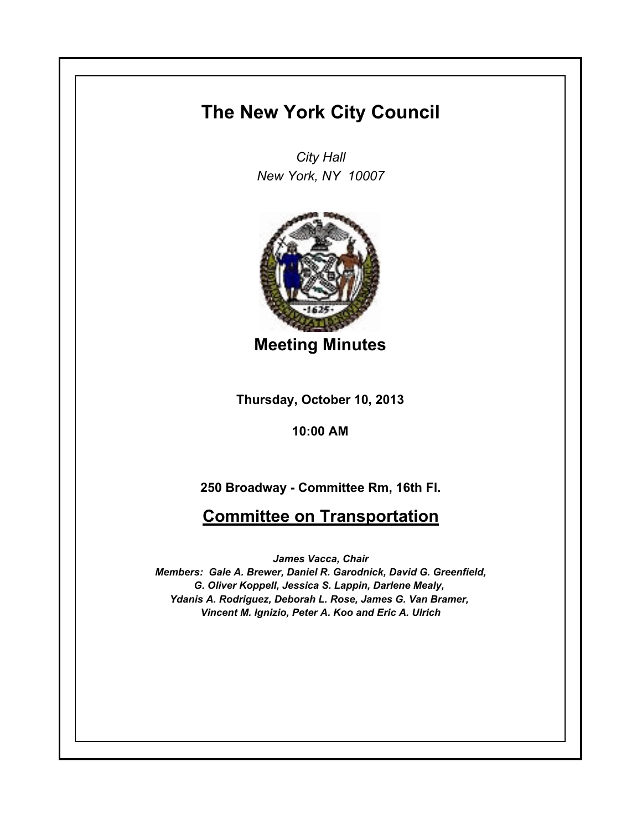## **The New York City Council**

*City Hall New York, NY 10007*



**Meeting Minutes**

**Thursday, October 10, 2013**

**10:00 AM**

**250 Broadway - Committee Rm, 16th Fl.**

## **Committee on Transportation**

*James Vacca, Chair Members: Gale A. Brewer, Daniel R. Garodnick, David G. Greenfield, G. Oliver Koppell, Jessica S. Lappin, Darlene Mealy, Ydanis A. Rodriguez, Deborah L. Rose, James G. Van Bramer, Vincent M. Ignizio, Peter A. Koo and Eric A. Ulrich*